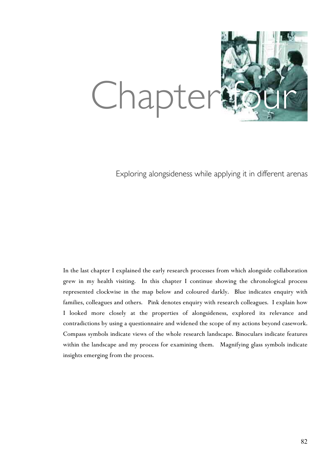

Exploring alongsideness while applying it in different arenas

In the last chapter I explained the early research processes from which alongside collaboration grew in my health visiting. In this chapter I continue showing the chronological process represented clockwise in the map below and coloured darkly. Blue indicates enquiry with families, colleagues and others. Pink denotes enquiry with research colleagues. I explain how I looked more closely at the properties of alongsideness, explored its relevance and contradictions by using a questionnaire and widened the scope of my actions beyond casework. Compass symbols indicate views of the whole research landscape. Binoculars indicate features within the landscape and my process for examining them. Magnifying glass symbols indicate insights emerging from the process.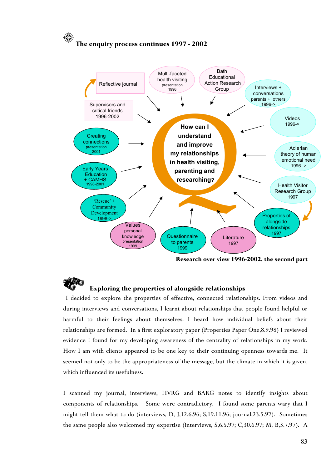# **The enquiry process continues 1997 - 2002**



**Research over view 1996-2002, the second part**

# **Exploring the properties of alongside relationships**

 I decided to explore the properties of effective, connected relationships. From videos and during interviews and conversations, I learnt about relationships that people found helpful or harmful to their feelings about themselves. I heard how individual beliefs about their relationships are formed. In a first exploratory paper (Properties Paper One,8.9.98) I reviewed evidence I found for my developing awareness of the centrality of relationships in my work. How I am with clients appeared to be one key to their continuing openness towards me. It seemed not only to be the appropriateness of the message, but the climate in which it is given, which influenced its usefulness.

I scanned my journal, interviews, HVRG and BARG notes to identify insights about components of relationships. Some were contradictory. I found some parents wary that I might tell them what to do (interviews, D, J,12.6.96; S,19.11.96; journal,23.5.97). Sometimes the same people also welcomed my expertise (interviews, S,6.5.97; C,30.6.97; M, B,3.7.97). A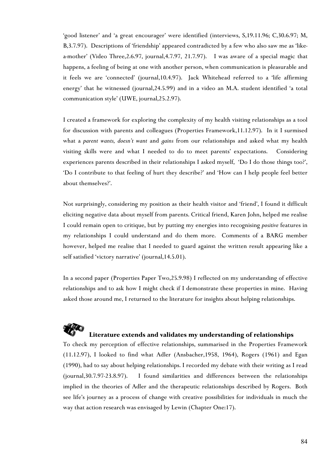'good listener' and 'a great encourager' were identified (interviews, S,19.11.96; C,30.6.97; M, B,3.7.97). Descriptions of 'friendship' appeared contradicted by a few who also saw me as 'likea-mother' (Video Three,2.6.97, journal,4.7.97, 21.7.97). I was aware of a special magic that happens, a feeling of being at one with another person, when communication is pleasurable and it feels we are 'connected' (journal,10.4.97). Jack Whitehead referred to a 'life affirming energy' that he witnessed (journal,24.5.99) and in a video an M.A. student identified 'a total communication style' (UWE, journal,25.2.97).

I created a framework for exploring the complexity of my health visiting relationships as a tool for discussion with parents and colleagues (Properties Framework,11.12.97). In it I surmised what a *parent wants, doesn't want* and *gains* from our relationships and asked what my health visiting skills were and what I needed to do to meet parents' expectations. Considering experiences parents described in their relationships I asked myself, 'Do I do those things too?', 'Do I contribute to that feeling of hurt they describe?' and 'How can I help people feel better about themselves?'.

Not surprisingly, considering my position as their health visitor and 'friend', I found it difficult eliciting negative data about myself from parents. Critical friend, Karen John, helped me realise I could remain open to critique, but by putting my energies into recognising *positive* features in my relationships I could understand and do them more. Comments of a BARG member however, helped me realise that I needed to guard against the written result appearing like a self satisfied 'victory narrative' (journal,14.5.01).

In a second paper (Properties Paper Two,25.9.98) I reflected on my understanding of effective relationships and to ask how I might check if I demonstrate these properties in mine. Having asked those around me, I returned to the literature for insights about helping relationships.

# **Literature extends and validates my understanding of relationships**

To check my perception of effective relationships, summarised in the Properties Framework (11.12.97), I looked to find what Adler (Ansbacher,1958, 1964), Rogers (1961) and Egan (1990), had to say about helping relationships. I recorded my debate with their writing as I read (journal,30.7.97-23.8.97). I found similarities and differences between the relationships implied in the theories of Adler and the therapeutic relationships described by Rogers. Both see life's journey as a process of change with creative possibilities for individuals in much the way that action research was envisaged by Lewin (Chapter One:17).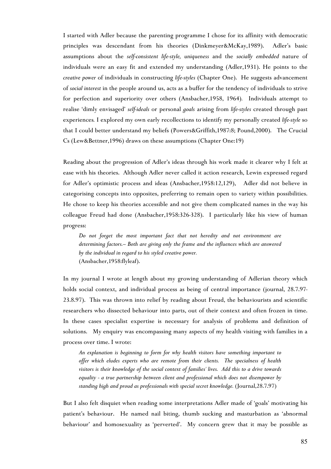I started with Adler because the parenting programme I chose for its affinity with democratic principles was descendant from his theories (Dinkmeyer&McKay,1989). Adler's basic assumptions about the *self-consistent life-style, uniqueness* and the *socially embedded* nature of individuals were an easy fit and extended my understanding (Adler,1931). He points to the *creative power* of individuals in constructing *life-styles* (Chapter One). He suggests advancement of *social interest* in the people around us, acts as a buffer for the tendency of individuals to strive for perfection and superiority over others (Ansbacher,1958, 1964)*.* Individuals attempt to realise 'dimly envisaged' *self-ideals* or personal *goals* arising from *life-styles* created through past experiences*.* I explored my own early recollections to identify my personally created *life-style* so that I could better understand my beliefs (Powers&Griffith,1987:8; Pound,2000). The Crucial Cs (Lew&Bettner,1996) draws on these assumptions (Chapter One:19)

Reading about the progression of Adler's ideas through his work made it clearer why I felt at ease with his theories. Although Adler never called it action research, Lewin expressed regard for Adler's optimistic process and ideas (Ansbacher,1958:12,129), Adler did not believe in categorising concepts into opposites, preferring to remain open to variety within possibilities. He chose to keep his theories accessible and not give them complicated names in the way his colleague Freud had done (Ansbacher,1958:326-328). I particularly like his view of human progress:

*Do not forget the most important fact that not heredity and not environment are determining factors.-- Both are giving only the frame and the influences which are answered by the individual in regard to his styled creative power.* (Ansbacher,1958:flyleaf).

In my journal I wrote at length about my growing understanding of Adlerian theory which holds social context, and individual process as being of central importance (journal, 28.7.97- 23.8.97). This was thrown into relief by reading about Freud, the behaviourists and scientific researchers who dissected behaviour into parts, out of their context and often frozen in time. In these cases specialist expertise is necessary for analysis of problems and definition of solutions. My enquiry was encompassing many aspects of my health visiting with families in a process over time. I wrote:

*An explanation is beginning to form for why health visitors have something important to offer which eludes experts who are remote from their clients. The specialness of health visitors is their knowledge of the social context of families' lives. Add this to a drive towards equality - a true partnership between client and professional which does not disempower by standing high and proud as professionals with special secret knowledge.* (Journal,28.7.97)

But I also felt disquiet when reading some interpretations Adler made of 'goals' motivating his patient's behaviour. He named nail biting, thumb sucking and masturbation as 'abnormal behaviour' and homosexuality as 'perverted'. My concern grew that it may be possible as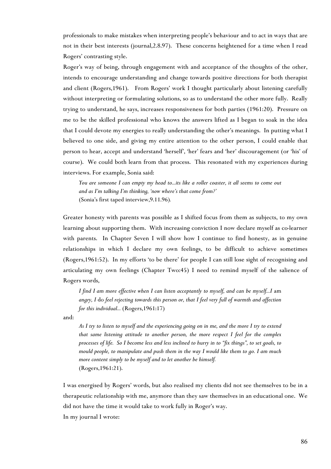professionals to make mistakes when interpreting people's behaviour and to act in ways that are not in their best interests (journal,2.8.97). These concerns heightened for a time when I read Rogers' contrasting style.

Roger's way of being, through engagement with and acceptance of the thoughts of the other, intends to encourage understanding and change towards positive directions for both therapist and client (Rogers,1961). From Rogers' work I thought particularly about listening carefully without interpreting or formulating solutions, so as to understand the other more fully. Really trying to understand, he says, increases responsiveness for both parties (1961:20). Pressure on me to be the skilled professional who knows the answers lifted as I began to soak in the idea that I could devote my energies to really understanding the other's meanings. In putting what I believed to one side, and giving my entire attention to the other person, I could enable that person to hear, accept and understand 'herself', 'her' fears and 'her' discouragement (or 'his' of course). We could both learn from that process. This resonated with my experiences during interviews. For example, Sonia said:

*You are someone I can empty my head to...its like a roller coaster, it all seems to come out and as I'm talking I'm thinking, 'now where's that come from?'* (Sonia's first taped interview,9.11.96)*.*

Greater honesty with parents was possible as I shifted focus from them as subjects, to my own learning about supporting them. With increasing conviction I now declare myself as co-learner with parents. In Chapter Seven I will show how I continue to find honesty, as in genuine relationships in which I declare my own feelings, to be difficult to achieve sometimes (Rogers,1961:52). In my efforts 'to be there' for people I can still lose sight of recognising and articulating my own feelings (Chapter Two:45) I need to remind myself of the salience of Rogers words,

*I* find *I am more effective when I can listen acceptantly to myself, and can be myself...I am angry, I* do *feel rejecting towards this person or, that I feel very full of warmth and affection for this individual...* (Rogers,1961:17)

and:

*As I try to listen to myself and the experiencing going on in me, and the more I try to extend that same listening attitude to another person, the more respect I feel for the complex processes of life. So I become less and less inclined to hurry in to "fix things", to set goals, to mould people, to manipulate and push them in the way I would like them to go. I am much more content simply to be myself and to let another be himself.* (Rogers,1961:21).

I was energised by Rogers' words, but also realised my clients did not see themselves to be in a therapeutic relationship with me, anymore than they saw themselves in an educational one. We did not have the time it would take to work fully in Roger's way.

In my journal I wrote: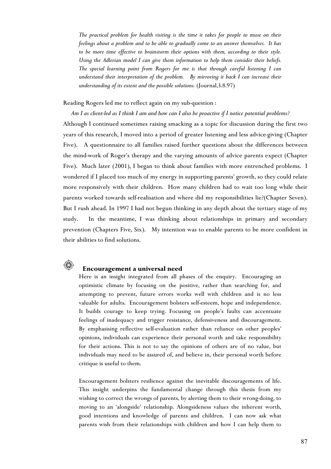*The practical problem for health visiting is the time it takes for people to muse on their feelings about a problem and to be able to gradually come to an answer themselves. It has to be more time effective to brainstorm their options with them, according to their style. Using the Adlerian model I can give them information to help them consider their beliefs. The special learning point from Rogers for me is that through careful listening I can understand their interpretation of the problem. By mirroring it back I can increase their understanding of its extent and the possible solutions.* (Journal,3.8.97)

Reading Rogers led me to reflect again on my sub-question :

*Am I as client-led as I think I am and how can I also be proactive if I notice potential problems?* Although I continued sometimes raising smacking as a topic for discussion during the first two years of this research, I moved into a period of greater listening and less advice-giving (Chapter Five). A questionnaire to all families raised further questions about the differences between the mind-work of Roger's therapy and the varying amounts of advice parents expect (Chapter Five). Much later (2001), I began to think about families with more entrenched problems. I wondered if I placed too much of my energy in supporting parents' growth, so they could relate more responsively with their children. How many children had to wait too long while their parents worked towards self-realisation and where did my responsibilities lie?(Chapter Seven). But I rush ahead. In 1997 I had not begun thinking in any depth about the tertiary stage of my study. In the meantime, I was thinking about relationships in primary and secondary prevention (Chapters Five, Six). My intention was to enable parents to be more confident in their abilities to find solutions.



### **Encouragement a universal need**

Here is an insight integrated from all phases of the enquiry. Encouraging an optimistic climate by focusing on the positive, rather than searching for, and attempting to prevent, future errors works well with children and is no less valuable for adults. Encouragement bolsters self-esteem, hope and independence. It builds courage to keep trying. Focusing on people's faults can accentuate feelings of inadequacy and trigger resistance, defensiveness and discouragement. By emphasising reflective self-evaluation rather than reliance on other peoples' opinions, individuals can experience their personal worth and take responsibility for their actions. This is not to say the opinions of others are of no value, but individuals may need to be assured of, and believe in, their personal worth before critique is useful to them.

Encouragement bolsters resilience against the inevitable discouragements of life. This insight underpins the fundamental change through this thesis from my wishing to correct the wrongs of parents, by alerting them to their wrong-doing, to moving to an 'alongside' relationship. Alongsideness values the inherent worth, good intentions and knowledge of parents and children. I can now ask what parents wish from their relationships with children and how I can help them to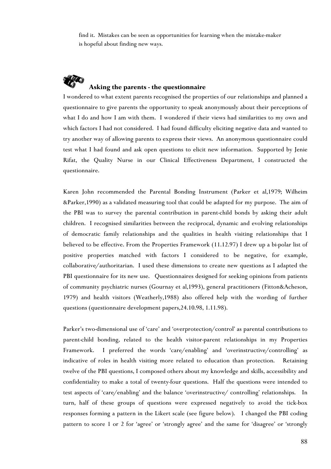find it. Mistakes can be seen as opportunities for learning when the mistake-maker is hopeful about finding new ways.



# **Asking the parents - the questionnaire**

I wondered to what extent parents recognised the properties of our relationships and planned a questionnaire to give parents the opportunity to speak anonymously about their perceptions of what I do and how I am with them. I wondered if their views had similarities to my own and which factors I had not considered. I had found difficulty eliciting negative data and wanted to try another way of allowing parents to express their views. An anonymous questionnaire could test what I had found and ask open questions to elicit new information. Supported by Jenie Rifat, the Quality Nurse in our Clinical Effectiveness Department, I constructed the questionnaire.

Karen John recommended the Parental Bonding Instrument (Parker et al,1979; Wilheim &Parker,1990) as a validated measuring tool that could be adapted for my purpose. The aim of the PBI was to survey the parental contribution in parent-child bonds by asking their adult children. I recognised similarities between the reciprocal, dynamic and evolving relationships of democratic family relationships and the qualities in health visiting relationships that I believed to be effective. From the Properties Framework (11.12.97) I drew up a bi-polar list of positive properties matched with factors I considered to be negative, for example, collaborative/authoritarian. I used these dimensions to create new questions as I adapted the PBI questionnaire for its new use. Questionnaires designed for seeking opinions from patients of community psychiatric nurses (Gournay et al,1993), general practitioners (Fitton&Acheson, 1979) and health visitors (Weatherly,1988) also offered help with the wording of further questions (questionnaire development papers,24.10.98, 1.11.98).

Parker's two-dimensional use of 'care' and 'overprotection/control' as parental contributions to parent-child bonding, related to the health visitor-parent relationships in my Properties Framework. I preferred the words 'care/enabling' and 'overinstructive/controlling' as indicative of roles in health visiting more related to education than protection. Retaining twelve of the PBI questions, I composed others about my knowledge and skills, accessibility and confidentiality to make a total of twenty-four questions. Half the questions were intended to test aspects of 'care/enabling' and the balance 'overinstructive/ controlling' relationships. In turn, half of these groups of questions were expressed negatively to avoid the tick-box responses forming a pattern in the Likert scale (see figure below). I changed the PBI coding pattern to score 1 or 2 for 'agree' or 'strongly agree' and the same for 'disagree' or 'strongly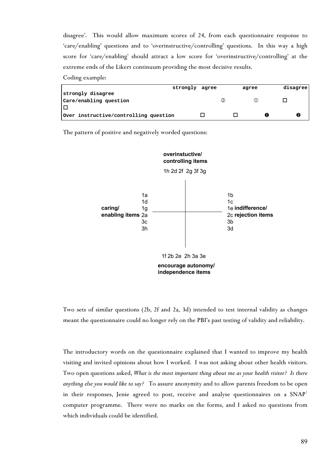disagree'. This would allow maximum scores of 24, from each questionnaire response to 'care/enabling' questions and to 'overinstructive/controlling' questions. In this way a high score for 'care/enabling' should attract a low score for 'overinstructive/controlling' at the extreme ends of the Likert continuum providing the most decisive results.

Coding example:

|                                       | strongly agree | agree |  | disagree |
|---------------------------------------|----------------|-------|--|----------|
| strongly disagree                     |                |       |  |          |
| Care/enabling question                |                |       |  |          |
| Е                                     |                |       |  |          |
| Over instructive/controlling question |                |       |  |          |

The pattern of positive and negatively worded questions:



Two sets of similar questions (2b, 2f and 2a, 3d) intended to test internal validity as changes meant the questionnaire could no longer rely on the PBI's past testing of validity and reliability.

<span id="page-7-0"></span>The introductory words on the questionnaire explained that I wanted to improve my health visiting and invited opinions about how I worked. I was not asking about other health visitors. Two open questions asked, *What is the most important thing about me as your health visitor? Is there anything else you would like to say?* To assure anonymity and to allow parents freedom to be ope[n](#page-7-0) in their responses, Jenie agreed to post, receive and analyse questionnaires on a  $SNAP^{\dagger}$ computer programme. There were no marks on the forms, and I asked no questions from which individuals could be identified.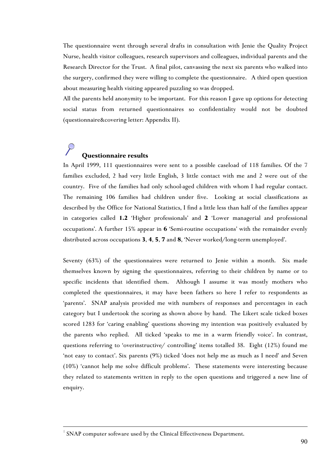The questionnaire went through several drafts in consultation with Jenie the Quality Project Nurse, health visitor colleagues, research supervisors and colleagues, individual parents and the Research Director for the Trust. A final pilot, canvassing the next six parents who walked into the surgery, confirmed they were willing to complete the questionnaire. A third open question about measuring health visiting appeared puzzling so was dropped.

All the parents held anonymity to be important. For this reason I gave up options for detecting social status from returned questionnaires so confidentiality would not be doubted (questionnaire&covering letter: Appendix II).

# **Questionnaire results**

In April 1999, 111 questionnaires were sent to a possible caseload of 118 families. Of the 7 families excluded, 2 had very little English, 3 little contact with me and 2 were out of the country. Five of the families had only school-aged children with whom I had regular contact. The remaining 106 families had children under five. Looking at social classifications as described by the Office for National Statistics, I find a little less than half of the families appear in categories called **1.2** 'Higher professionals' and **2** 'Lower managerial and professional occupations'. A further 15% appear in **6** 'Semi-routine occupations' with the remainder evenly distributed across occupations **3**, **4**, **5**, **7** and **8**, 'Never worked/long-term unemployed'.

Seventy (63%) of the questionnaires were returned to Jenie within a month. Six made themselves known by signing the questionnaires, referring to their children by name or to specific incidents that identified them. Although I assume it was mostly mothers who completed the questionnaires, it may have been fathers so here I refer to respondents as 'parents'. SNAP analysis provided me with numbers of responses and percentages in each category but I undertook the scoring as shown above by hand. The Likert scale ticked boxes scored 1283 for 'caring enabling' questions showing my intention was positively evaluated by the parents who replied. All ticked 'speaks to me in a warm friendly voice'. In contrast, questions referring to 'overinstructive/ controlling' items totalled 38. Eight (12%) found me 'not easy to contact'. Six parents (9%) ticked 'does not help me as much as I need' and Seven (10%) 'cannot help me solve difficult problems'. These statements were interesting because they related to statements written in reply to the open questions and triggered a new line of enquiry.

 $\overline{a}$ 

<sup>&</sup>lt;sup>1</sup> SNAP computer software used by the Clinical Effectiveness Department.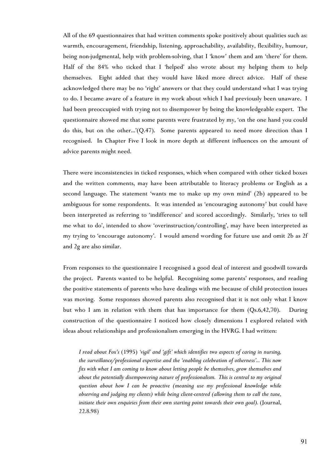All of the 69 questionnaires that had written comments spoke positively about qualities such as: warmth, encouragement, friendship, listening, approachability, availability, flexibility, humour, being non-judgmental, help with problem-solving, that I 'know' them and am 'there' for them. Half of the 84% who ticked that I 'helped' also wrote about my helping them to help themselves. Eight added that they would have liked more direct advice. Half of these acknowledged there may be no 'right' answers or that they could understand what I was trying to do. I became aware of a feature in my work about which I had previously been unaware. I had been preoccupied with trying not to disempower by being the knowledgeable expert. The questionnaire showed me that some parents were frustrated by my, 'on the one hand you could do this, but on the other...'(Q.47). Some parents appeared to need more direction than I recognised. In Chapter Five I look in more depth at different influences on the amount of advice parents might need.

There were inconsistencies in ticked responses, which when compared with other ticked boxes and the written comments, may have been attributable to literacy problems or English as a second language. The statement 'wants me to make up my own mind' (2b) appeared to be ambiguous for some respondents. It was intended as 'encouraging autonomy' but could have been interpreted as referring to 'indifference' and scored accordingly. Similarly, 'tries to tell me what to do', intended to show 'overinstruction/controlling', may have been interpreted as my trying to 'encourage autonomy'. I would amend wording for future use and omit 2b as 2f and 2g are also similar.

From responses to the questionnaire I recognised a good deal of interest and goodwill towards the project. Parents wanted to be helpful. Recognising some parents' responses, and reading the positive statements of parents who have dealings with me because of child protection issues was moving. Some responses showed parents also recognised that it is not only what I know but who I am in relation with them that has importance for them (Qs.6,42,70). During construction of the questionnaire I noticed how closely dimensions I explored related with ideas about relationships and professionalism emerging in the HVRG. I had written:

*I read about Fox's* (1995) *'vigil' and 'gift' which identifies two aspects of caring in nursing, the surveillance/professional expertise and the 'enabling celebration of otherness'... This now fits with what I am coming to know about letting people be themselves, grow themselves and about the potentially disempowering nature of professionalism. This is central to my original question about how I can be proactive (meaning use my professional knowledge while observing and judging my clients) while being client-centred (allowing them to call the tune, initiate their own enquiries from their own starting point towards their own goal).* (Journal, 22.8.98)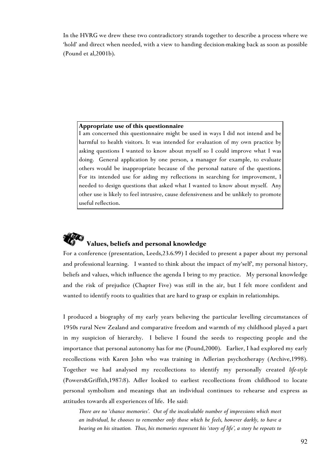In the HVRG we drew these two contradictory strands together to describe a process where we 'hold' and direct when needed, with a view to handing decision-making back as soon as possible (Pound et al,2001b).

## **Appropriate use of this questionnaire**

I am concerned this questionnaire might be used in ways I did not intend and be harmful to health visitors. It was intended for evaluation of my own practice by asking questions I wanted to know about myself so I could improve what I was doing. General application by one person, a manager for example, to evaluate others would be inappropriate because of the personal nature of the questions. For its intended use for aiding my reflections in searching for improvement, I needed to design questions that asked what I wanted to know about myself. Any other use is likely to feel intrusive, cause defensiveness and be unlikely to promote useful reflection.

# **Values, beliefs and personal knowledge**

For a conference (presentation, Leeds,23.6.99) I decided to present a paper about my personal and professional learning. I wanted to think about the impact of my'self', my personal history, beliefs and values, which influence the agenda I bring to my practice. My personal knowledge and the risk of prejudice (Chapter Five) was still in the air, but I felt more confident and wanted to identify roots to qualities that are hard to grasp or explain in relationships.

I produced a biography of my early years believing the particular levelling circumstances of 1950s rural New Zealand and comparative freedom and warmth of my childhood played a part in my suspicion of hierarchy. I believe I found the seeds to respecting people and the importance that personal autonomy has for me (Pound,2000). Earlier, I had explored my early recollections with Karen John who was training in Adlerian psychotherapy (Archive,1998). Together we had analysed my recollections to identify my personally created *life-style* (Powers&Griffith,1987:8). Adler looked to earliest recollections from childhood to locate personal symbolism and meanings that an individual continues to rehearse and express as attitudes towards all experiences of life. He said:

*There are no 'chance memories'. Out of the incalculable number of impressions which meet an individual, he chooses to remember only those which he feels, however darkly, to have a bearing on his situation. Thus, his memories represent his 'story of life', a story he repeats to*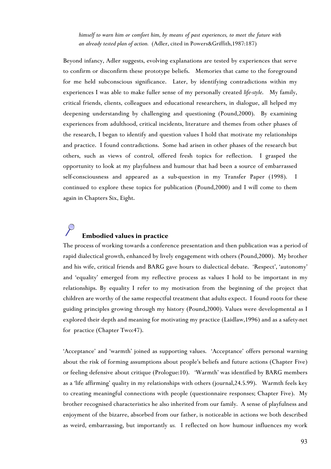*himself to warn him or comfort him, by means of past experiences, to meet the future with an already tested plan of action.* (Adler, cited in Powers&Griffith,1987:187)

Beyond infancy, Adler suggests, evolving explanations are tested by experiences that serve to confirm or disconfirm these prototype beliefs. Memories that came to the foreground for me held subconscious significance. Later, by identifying contradictions within my experiences I was able to make fuller sense of my personally created *life-style*. My family, critical friends, clients, colleagues and educational researchers, in dialogue, all helped my deepening understanding by challenging and questioning (Pound,2000). By examining experiences from adulthood, critical incidents, literature and themes from other phases of the research, I began to identify and question values I hold that motivate my relationships and practice. I found contradictions. Some had arisen in other phases of the research but others, such as views of control, offered fresh topics for reflection. I grasped the opportunity to look at my playfulness and humour that had been a source of embarrassed self-consciousness and appeared as a sub-question in my Transfer Paper (1998). I continued to explore these topics for publication (Pound,2000) and I will come to them again in Chapters Six, Eight.

# **Embodied values in practice**

The process of working towards a conference presentation and then publication was a period of rapid dialectical growth, enhanced by lively engagement with others (Pound,2000). My brother and his wife, critical friends and BARG gave hours to dialectical debate. 'Respect', 'autonomy' and 'equality' emerged from my reflective process as values I hold to be important in my relationships. By equality I refer to my motivation from the beginning of the project that children are worthy of the same respectful treatment that adults expect. I found roots for these guiding principles growing through my history (Pound,2000). Values were developmental as I explored their depth and meaning for motivating my practice (Laidlaw,1996) and as a safety-net for practice (Chapter Two:47).

'Acceptance' and 'warmth' joined as supporting values. 'Acceptance' offers personal warning about the risk of forming assumptions about people's beliefs and future actions (Chapter Five) or feeling defensive about critique (Prologue:10). 'Warmth' was identified by BARG members as a 'life affirming' quality in my relationships with others (journal,24.5.99). Warmth feels key to creating meaningful connections with people (questionnaire responses; Chapter Five). My brother recognised characteristics he also inherited from our family. A sense of playfulness and enjoyment of the bizarre, absorbed from our father, is noticeable in actions we both described as weird, embarrassing, but importantly *us.* I reflected on how humour influences my work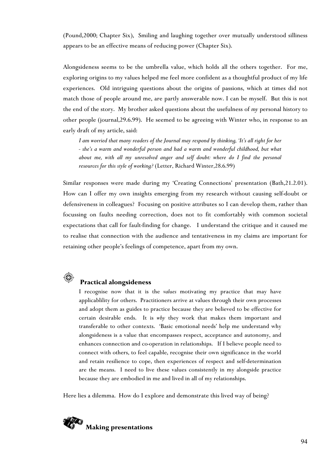(Pound,2000; Chapter Six), Smiling and laughing together over mutually understood silliness appears to be an effective means of reducing power (Chapter Six).

Alongsideness seems to be the umbrella value, which holds all the others together. For me, exploring origins to my values helped me feel more confident as a thoughtful product of my life experiences. Old intriguing questions about the origins of passions, which at times did not match those of people around me, are partly answerable now. I can be myself. But this is not the end of the story. My brother asked questions about the usefulness of *my* personal history to other people (journal,29.6.99). He seemed to be agreeing with Winter who, in response to an early draft of my article, said:

*I am worried that many readers of the Journal may respond by thinking, 'It's all right for her - she's a warm and wonderful person and had a warm and wonderful childhood, but what about me, with all my unresolved anger and self doubt: where do I find the personal resources for this style of working?* (Letter, Richard Winter,28.6.99)

Similar responses were made during my 'Creating Connections' presentation (Bath,21.2.01). How can I offer my own insights emerging from my research without causing self-doubt or defensiveness in colleagues? Focusing on positive attributes so I can develop them, rather than focussing on faults needing correction, does not to fit comfortably with common societal expectations that call for fault-finding for change. I understand the critique and it caused me to realise that connection with the audience and tentativeness in my claims are important for retaining other people's feelings of competence, apart from my own.



## **Practical alongsideness**

I recognise now that it is the *values* motivating my practice that may have applicablility for others. Practitioners arrive at values through their own processes and adopt them as guides to practice because they are believed to be effective for certain desirable ends. It is *why* they work that makes them important and transferable to other contexts. 'Basic emotional needs' help me understand why alongsideness is a value that encompasses respect, acceptance and autonomy, and enhances connection and co-operation in relationships. If I believe people need to connect with others, to feel capable, recognise their own significance in the world and retain resilience to cope, then experiences of respect and self-determination are the means. I need to live these values consistently in my alongside practice because they are embodied in me and lived in all of my relationships.

Here lies a dilemma. How do I explore and demonstrate this lived way of being?

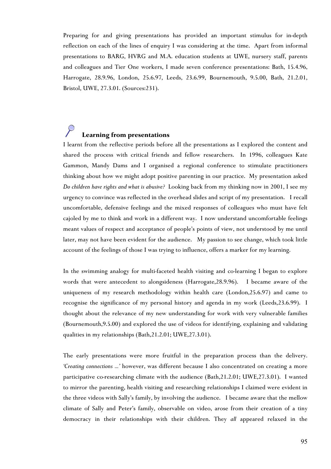Preparing for and giving presentations has provided an important stimulus for in-depth reflection on each of the lines of enquiry I was considering at the time. Apart from informal presentations to BARG, HVRG and M.A. education students at UWE, nursery staff, parents and colleagues and Tier One workers, I made seven conference presentations: Bath, 15.4.96, Harrogate, 28.9.96, London, 25.6.97, Leeds, 23.6.99, Bournemouth, 9.5.00, Bath, 21.2.01, Bristol, UWE, 27.3.01. (Sources:231).

# **Learning from presentations**

I learnt from the reflective periods before all the presentations as I explored the content and shared the process with critical friends and fellow researchers. In 1996, colleagues Kate Gammon, Mandy Dams and I organised a regional conference to stimulate practitioners thinking about how we might adopt positive parenting in our practice. My presentation asked *Do children have rights and what is abusive?* Looking back from my thinking now in 2001, I see my urgency to convince was reflected in the overhead slides and script of my presentation. I recall uncomfortable, defensive feelings and the mixed responses of colleagues who must have felt cajoled by me to think and work in a different way. I now understand uncomfortable feelings meant values of respect and acceptance of people's points of view, not understood by me until later, may not have been evident for the audience. My passion to see change, which took little account of the feelings of those I was trying to influence, offers a marker for my learning.

In the swimming analogy for multi-faceted health visiting and co-learning I began to explore words that were antecedent to alongsideness (Harrogate,28.9.96). I became aware of the uniqueness of my research methodology within health care (London,25.6.97) and came to recognise the significance of my personal history and agenda in my work (Leeds,23.6.99). I thought about the relevance of my new understanding for work with very vulnerable families (Bournemouth,9.5.00) and explored the use of videos for identifying, explaining and validating qualities in my relationships (Bath,21.2.01; UWE,27.3.01).

The early presentations were more fruitful in the preparation process than the delivery. *'Creating connections ...'* however, was different because I also concentrated on creating a more participative co-researching climate with the audience (Bath,21.2.01; UWE,27.3.01). I wanted to mirror the parenting, health visiting and researching relationships I claimed were evident in the three videos with Sally's family, by involving the audience. I became aware that the mellow climate of Sally and Peter's family, observable on video, arose from their creation of a tiny democracy in their relationships with their children. They *all* appeared relaxed in the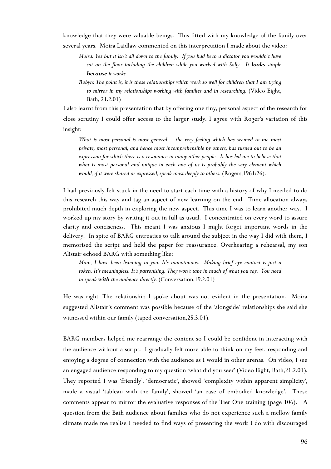knowledge that they were valuable beings. This fitted with my knowledge of the family over several years. Moira Laidlaw commented on this interpretation I made about the video:

*Moira: Yes but it isn't all down to the family. If you had been a dictator you wouldn't have sat on the floor including the children while you worked with Sally. It looks simple because it works.*

*Robyn: The point is, it is those relationships which work so well for children that I am trying to mirror in my relationships working with families and in researching.* (Video Eight, Bath, 21.2.01)

I also learnt from this presentation that by offering one tiny, personal aspect of the research for close scrutiny I could offer access to the larger study. I agree with Roger's variation of this insight:

*What is most personal is most general ... the very feeling which has seemed to me most private, most personal, and hence most incomprehensible by others, has turned out to be an expression for which there is a resonance in many other people. It has led me to believe that what is most personal and unique in each one of us is probably the very element which would, if it were shared or expressed, speak most deeply to others.* (Rogers, 1961:26).

I had previously felt stuck in the need to start each time with a history of why I needed to do this research this way and tag an aspect of new learning on the end. Time allocation always prohibited much depth in exploring the new aspect. This time I was to learn another way. I worked up my story by writing it out in full as usual. I concentrated on every word to assure clarity and conciseness. This meant I was anxious I might forget important words in the delivery. In spite of BARG entreaties to talk around the subject in the way I did with them, I memorised the script and held the paper for reassurance. Overhearing a rehearsal, my son Alistair echoed BARG with something like:

*Mum, I have been listening to you. It's monotonous. Making brief eye contact is just a token. It's meaningless. It's patronising. They won't take in much of what you say. You need to speak with the audience directly.* (Conversation,19.2.01)

He was right. The relationship I spoke about was not evident in the presentation. Moira suggested Alistair's comment was possible because of the 'alongside' relationships she said she witnessed within our family (taped conversation,25.3.01).

BARG members helped me rearrange the content so I could be confident in interacting with the audience without a script. I gradually felt more able to think on my feet, responding and enjoying a degree of connection with the audience as I would in other arenas. On video, I see an engaged audience responding to my question 'what did you see?' (Video Eight, Bath,21.2.01). They reported I was 'friendly', 'democratic', showed 'complexity within apparent simplicity', made a visual 'tableau with the family', showed 'an ease of embodied knowledge'. These comments appear to mirror the evaluative responses of the Tier One training (page 106). A question from the Bath audience about families who do not experience such a mellow family climate made me realise I needed to find ways of presenting the work I do with discouraged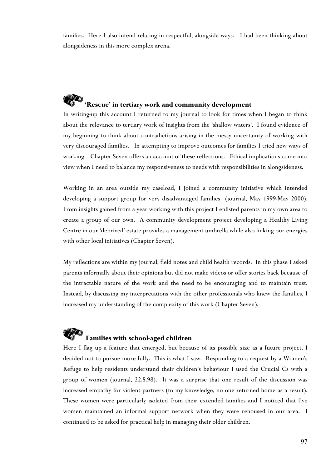families. Here I also intend relating in respectful, alongside ways. I had been thinking about alongsideness in this more complex arena.

# *RFC* **'Rescue' in tertiary work and community development**

In writing-up this account I returned to my journal to look for times when I began to think about the relevance to tertiary work of insights from the 'shallow waters'. I found evidence of my beginning to think about contradictions arising in the messy uncertainty of working with very discouraged families. In attempting to improve outcomes for families I tried new ways of working. Chapter Seven offers an account of these reflections. Ethical implications come into view when I need to balance my responsiveness to needs with responsibilities in alongsideness.

Working in an area outside my caseload, I joined a community initiative which intended developing a support group for very disadvantaged families (journal, May 1999-May 2000). From insights gained from a year working with this project I enlisted parents in my own area to create a group of our own. A community development project developing a Healthy Living Centre in our 'deprived' estate provides a management umbrella while also linking our energies with other local initiatives (Chapter Seven).

My reflections are within my journal, field notes and child health records. In this phase I asked parents informally about their opinions but did not make videos or offer stories back because of the intractable nature of the work and the need to be encouraging and to maintain trust. Instead, by discussing my interpretations with the other professionals who knew the families, I increased my understanding of the complexity of this work (Chapter Seven).

# **Families with school-aged children**

Here I flag up a feature that emerged, but because of its possible size as a future project, I decided not to pursue more fully. This is what I saw. Responding to a request by a Women's Refuge to help residents understand their children's behaviour I used the Crucial Cs with a group of women (journal, 22.5.98). It was a surprise that one result of the discussion was increased empathy for violent partners (to my knowledge, no one returned home as a result). These women were particularly isolated from their extended families and I noticed that five women maintained an informal support network when they were rehoused in our area. I continued to be asked for practical help in managing their older children.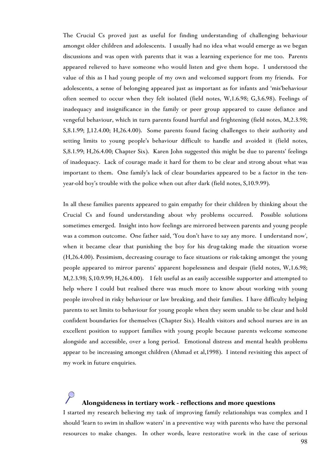The Crucial Cs proved just as useful for finding understanding of challenging behaviour amongst older children and adolescents. I usually had no idea what would emerge as we began discussions and was open with parents that it was a learning experience for me too. Parents appeared relieved to have someone who would listen and give them hope. I understood the value of this as I had young people of my own and welcomed support from my friends. For adolescents, a sense of belonging appeared just as important as for infants and 'mis'behaviour often seemed to occur when they felt isolated (field notes, W,1.6.98; G,3.6.98). Feelings of inadequacy and insignificance in the family or peer group appeared to cause defiance and vengeful behaviour, which in turn parents found hurtful and frightening (field notes, M,2.3.98; S,8.1.99; J,12.4.00; H,26.4.00). Some parents found facing challenges to their authority and setting limits to young people's behaviour difficult to handle and avoided it (field notes, S,8.1.99; H,26.4.00; Chapter Six). Karen John suggested this might be due to parents' feelings of inadequacy. Lack of courage made it hard for them to be clear and strong about what was important to them. One family's lack of clear boundaries appeared to be a factor in the tenyear-old boy's trouble with the police when out after dark (field notes, S,10.9.99).

In all these families parents appeared to gain empathy for their children by thinking about the Crucial Cs and found understanding about why problems occurred. Possible solutions sometimes emerged. Insight into how feelings are mirrored between parents and young people was a common outcome. One father said, 'You don't have to say any more. I understand now', when it became clear that punishing the boy for his drug-taking made the situation worse (H,26.4.00). Pessimism, decreasing courage to face situations or risk-taking amongst the young people appeared to mirror parents' apparent hopelessness and despair (field notes, W,1.6.98; M,2.3.98; S,10.9.99; H,26.4.00). I felt useful as an easily accessible supporter and attempted to help where I could but realised there was much more to know about working with young people involved in risky behaviour or law breaking, and their families. I have difficulty helping parents to set limits to behaviour for young people when they seem unable to be clear and hold confident boundaries for themselves (Chapter Six). Health visitors and school nurses are in an excellent position to support families with young people because parents welcome someone alongside and accessible, over a long period. Emotional distress and mental health problems appear to be increasing amongst children (Ahmad et al,1998). I intend revisiting this aspect of my work in future enquiries.

# **Alongsideness in tertiary work - reflections and more questions**

I started my research believing my task of improving family relationships was complex and I should 'learn to swim in shallow waters' in a preventive way with parents who have the personal resources to make changes. In other words, leave restorative work in the case of serious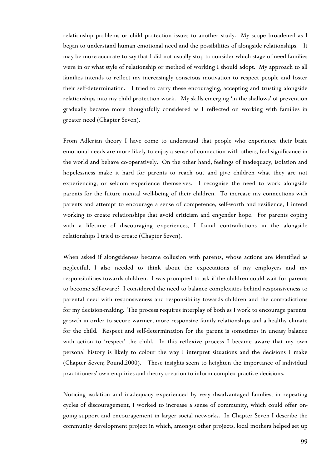relationship problems or child protection issues to another study. My scope broadened as I began to understand human emotional need and the possibilities of alongside relationships. It may be more accurate to say that I did not usually stop to consider which stage of need families were in or what style of relationship or method of working I should adopt. My approach to all families intends to reflect my increasingly conscious motivation to respect people and foster their self-determination. I tried to carry these encouraging, accepting and trusting alongside relationships into my child protection work. My skills emerging 'in the shallows' of prevention gradually became more thoughtfully considered as I reflected on working with families in greater need (Chapter Seven).

From Adlerian theory I have come to understand that people who experience their basic emotional needs are more likely to enjoy a sense of connection with others, feel significance in the world and behave co-operatively. On the other hand, feelings of inadequacy, isolation and hopelessness make it hard for parents to reach out and give children what they are not experiencing, or seldom experience themselves. I recognise the need to work alongside parents for the future mental well-being of their children. To increase my connections with parents and attempt to encourage a sense of competence, self-worth and resilience, I intend working to create relationships that avoid criticism and engender hope. For parents coping with a lifetime of discouraging experiences, I found contradictions in the alongside relationships I tried to create (Chapter Seven).

When asked if alongsideness became collusion with parents, whose actions are identified as neglectful, I also needed to think about the expectations of my employers and my responsibilities towards children. I was prompted to ask if the children could wait for parents to become self-aware? I considered the need to balance complexities behind responsiveness to parental need with responsiveness and responsibility towards children and the contradictions for my decision-making. The process requires interplay of both as I work to encourage parents' growth in order to secure warmer, more responsive family relationships and a healthy climate for the child. Respect and self-determination for the parent is sometimes in uneasy balance with action to 'respect' the child. In this reflexive process I became aware that my own personal history is likely to colour the way I interpret situations and the decisions I make (Chapter Seven; Pound,2000). These insights seem to heighten the importance of individual practitioners' own enquiries and theory creation to inform complex practice decisions.

Noticing isolation and inadequacy experienced by very disadvantaged families, in repeating cycles of discouragement, I worked to increase a sense of community, which could offer ongoing support and encouragement in larger social networks. In Chapter Seven I describe the community development project in which, amongst other projects, local mothers helped set up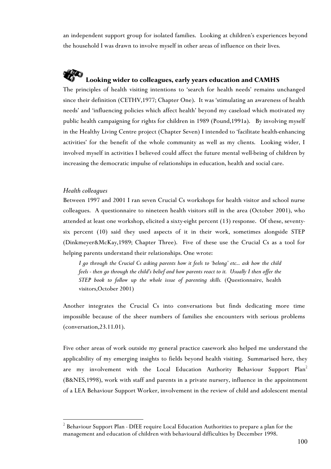an independent support group for isolated families. Looking at children's experiences beyond the household I was drawn to involve myself in other areas of influence on their lives.

# **Looking wider to colleagues, early years education and CAMHS**

The principles of health visiting intentions to 'search for health needs' remains unchanged since their definition (CETHV,1977; Chapter One). It was 'stimulating an awareness of health needs' and 'influencing policies which affect health' beyond my caseload which motivated my public health campaigning for rights for children in 1989 (Pound,1991a). By involving myself in the Healthy Living Centre project (Chapter Seven) I intended to 'facilitate health-enhancing activities' for the benefit of the whole community as well as my clients. Looking wider, I involved myself in activities I believed could affect the future mental well-being of children by increasing the democratic impulse of relationships in education, health and social care.

### *Health colleagues*

 $\overline{a}$ 

Between 1997 and 2001 I ran seven Crucial Cs workshops for health visitor and school nurse colleagues. A questionnaire to nineteen health visitors still in the area (October 2001), who attended at least one workshop, elicited a sixty-eight percent (13) response. Of these, seventysix percent (10) said they used aspects of it in their work, sometimes alongside STEP (Dinkmeyer&McKay,1989; Chapter Three). Five of these use the Crucial Cs as a tool for helping parents understand their relationships. One wrote:

*I go through the Crucial Cs asking parents how it feels to 'belong' etc... ask how the child feels - then go through the child's belief and how parents react to it. Usually I then offer the STEP book to follow up the whole issue of parenting skills.* (Questionnaire, health visitors,October 2001)

Another integrates the Crucial Cs into conversations but finds dedicating more time impossible because of the sheer numbers of families she encounters with serious problems (conversation,23.11.01).

Five other areas of work outside my general practice casework also helped me understand t[he](#page-18-0) applicability of my emerging insights to fields beyond health visiting. Summarised here, they are my involvement with the Local Education Authority Behaviour Support Plan<sup>2</sup> (B&NES,1998), work with staff and parents in a private nursery, influence in the appointment of a LEA Behaviour Support Worker, involvement in the review of child and adolescent mental

<span id="page-18-0"></span> $2$  Behaviour Support Plan - DfEE require Local Education Authorities to prepare a plan for the management and education of children with behavioural difficulties by December 1998.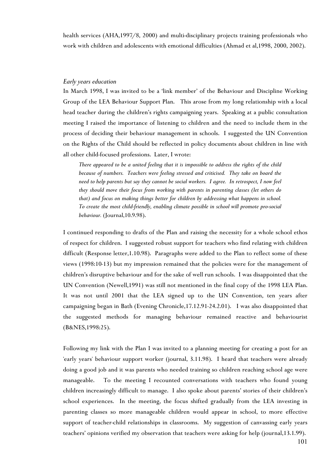health services (AHA,1997/8, 2000) and multi-disciplinary projects training professionals who work with children and adolescents with emotional difficulties (Ahmad et al,1998, 2000, 2002).

## *Early years education*

In March 1998, I was invited to be a 'link member' of the Behaviour and Discipline Working Group of the LEA Behaviour Support Plan. This arose from my long relationship with a local head teacher during the children's rights campaigning years. Speaking at a public consultation meeting I raised the importance of listening to children and the need to include them in the process of deciding their behaviour management in schools. I suggested the UN Convention on the Rights of the Child should be reflected in policy documents about children in line with all other child-focused professions. Later, I wrote:

*There appeared to be a united feeling that it is impossible to address the rights of the child because of numbers. Teachers were feeling stressed and criticised. They take on board the need to help parents but say they cannot be social workers. I agree. In retrospect, I now feel they should move their focus from working with parents in parenting classes (let others do that) and focus on making things better for children by addressing what happens in school. To create the most child-friendly, enabling climate possible in school will promote pro-social behaviour.* (Journal,10.9.98).

I continued responding to drafts of the Plan and raising the necessity for a whole school ethos of respect for children. I suggested robust support for teachers who find relating with children difficult (Response letter,1.10.98). Paragraphs were added to the Plan to reflect some of these views (1998:10-13) but my impression remained that the policies were for the management of children's disruptive behaviour and for the sake of well run schools. I was disappointed that the UN Convention (Newell,1991) was still not mentioned in the final copy of the 1998 LEA Plan. It was not until 2001 that the LEA signed up to the UN Convention, ten years after campaigning began in Bath (Evening Chronicle,17.12.91-24.2.01). I was also disappointed that the suggested methods for managing behaviour remained reactive and behaviourist (B&NES,1998:25).

Following my link with the Plan I was invited to a planning meeting for creating a post for an 'early years' behaviour support worker (journal, 3.11.98). I heard that teachers were already doing a good job and it was parents who needed training so children reaching school age were manageable. To the meeting I recounted conversations with teachers who found young children increasingly difficult to manage. I also spoke about parents' stories of their children's school experiences. In the meeting, the focus shifted gradually from the LEA investing in parenting classes so more manageable children would appear in school, to more effective support of teacher-child relationships in classrooms. My suggestion of canvassing early years teachers' opinions verified my observation that teachers were asking for help (journal,13.1.99).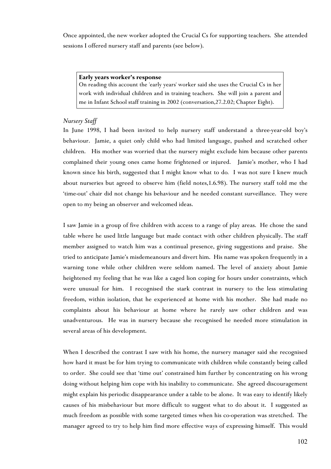Once appointed, the new worker adopted the Crucial Cs for supporting teachers. She attended sessions I offered nursery staff and parents (see below).

#### **Early years worker's response**

On reading this account the 'early years' worker said she uses the Crucial Cs in her work with individual children and in training teachers. She will join a parent and me in Infant School staff training in 2002 (conversation,27.2.02; Chapter Eight).

## *Nursery Staff*

In June 1998, I had been invited to help nursery staff understand a three-year-old boy's behaviour. Jamie, a quiet only child who had limited language, pushed and scratched other children. His mother was worried that the nursery might exclude him because other parents complained their young ones came home frightened or injured. Jamie's mother, who I had known since his birth, suggested that I might know what to do*.* I was not sure I knew much about nurseries but agreed to observe him (field notes,1.6.98). The nursery staff told me the 'time-out' chair did not change his behaviour and he needed constant surveillance. They were open to my being an observer and welcomed ideas.

I saw Jamie in a group of five children with access to a range of play areas. He chose the sand table where he used little language but made contact with other children physically. The staff member assigned to watch him was a continual presence, giving suggestions and praise. She tried to anticipate Jamie's misdemeanours and divert him. His name was spoken frequently in a warning tone while other children were seldom named. The level of anxiety about Jamie heightened my feeling that he was like a caged lion coping for hours under constraints, which were unusual for him. I recognised the stark contrast in nursery to the less stimulating freedom, within isolation, that he experienced at home with his mother. She had made no complaints about his behaviour at home where he rarely saw other children and was unadventurous. He was in nursery because she recognised he needed more stimulation in several areas of his development.

When I described the contrast I saw with his home, the nursery manager said she recognised how hard it must be for him trying to communicate with children while constantly being called to order. She could see that 'time out' constrained him further by concentrating on his wrong doing without helping him cope with his inability to communicate. She agreed discouragement might explain his periodic disappearance under a table to be alone. It was easy to identify likely causes of his misbehaviour but more difficult to suggest what to do about it. I suggested as much freedom as possible with some targeted times when his co-operation was stretched. The manager agreed to try to help him find more effective ways of expressing himself. This would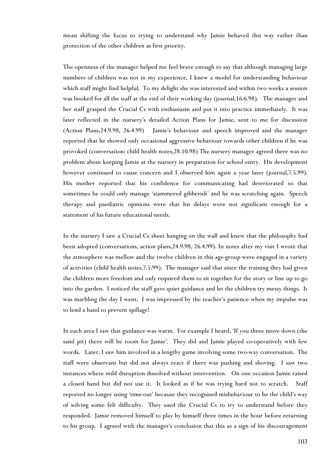mean shifting the focus to trying to understand why Jamie behaved this way rather than protection of the other children as first priority.

The openness of the manager helped me feel brave enough to say that although managing large numbers of children was not in my experience, I knew a model for understanding behaviour which staff might find helpful. To my delight she was interested and within two weeks a session was booked for all the staff at the end of their working day (journal,16.6.98). The manager and her staff grasped the Crucial Cs with enthusiasm and put it into practice immediately. It was later reflected in the nursery's detailed Action Plans for Jamie, sent to me for discussion (Action Plans,24.9.98, 26.4.99) Jamie's behaviour and speech improved and the manager reported that he showed only occasional aggressive behaviour towards other children if he was provoked (conversation: child health notes,28.10.98) The nursery manager agreed there was no problem about keeping Jamie at the nursery in preparation for school entry. His development however continued to cause concern and I observed him again a year later (journal, 7.5.99). His mother reported that his confidence for communicating had deteriorated so that sometimes he could only manage 'stammered gibberish' and he was scratching again. Speech therapy and paediatric opinions were that his delays were not significant enough for a statement of his future educational needs.

In the nursery I saw a Crucial Cs sheet hanging on the wall and knew that the philosophy had been adopted (conversations, action plans,24.9.98, 26.4.99). In notes after my visit I wrote that the atmosphere was mellow and the twelve children in this age-group were engaged in a variety of activities (child health notes,7.5.99). The manager said that since the training they had given the children more freedom and only required them to sit together for the story or line up to go into the garden. I noticed the staff gave quiet guidance and let the children try messy things. It was marbling the day I went. I was impressed by the teacher's patience when my impulse was to lend a hand to prevent spillage!

In each area I saw that guidance was warm. For example I heard, 'If you three move down (the sand pit) there will be room for Jamie'. They did and Jamie played co-operatively with few words. Later, I saw him involved in a lengthy game involving some two-way conversation. The staff were observant but did not always react if there was pushing and shoving. I saw two instances where mild disruption dissolved without intervention. On one occasion Jamie raised a closed hand but did not use it. It looked as if he was trying hard not to scratch. Staff reported no longer using 'time-out' because they recognised misbehaviour to be the child's way of solving some felt difficulty. They used the Crucial Cs to try to understand before they responded. Jamie removed himself to play by himself three times in the hour before returning to his group. I agreed with the manager's conclusion that this as a sign of his discouragement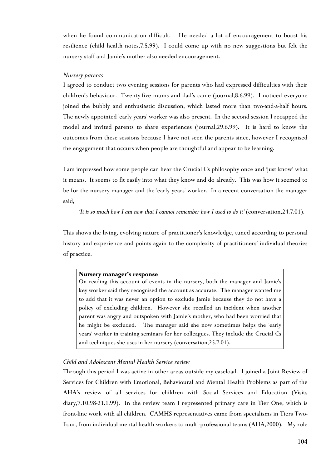when he found communication difficult. He needed a lot of encouragement to boost his resilience (child health notes,7.5.99). I could come up with no new suggestions but felt the nursery staff and Jamie's mother also needed encouragement.

## *Nursery parents*

I agreed to conduct two evening sessions for parents who had expressed difficulties with their children's behaviour. Twenty-five mums and dad's came (journal,8.6.99). I noticed everyone joined the bubbly and enthusiastic discussion, which lasted more than two-and-a-half hours. The newly appointed 'early years' worker was also present. In the second session I recapped the model and invited parents to share experiences (journal,29.6.99). It is hard to know the outcomes from these sessions because I have not seen the parents since, however I recognised the engagement that occurs when people are thoughtful and appear to be learning.

I am impressed how some people can hear the Crucial Cs philosophy once and 'just know' what it means. It seems to fit easily into what they know and do already. This was how it seemed to be for the nursery manager and the 'early years' worker. In a recent conversation the manager said,

*It is so much how I am now that I cannot remember how I used to do it'* (conversation, 24.7.01).

This shows the living, evolving nature of practitioner's knowledge, tuned according to personal history and experience and points again to the complexity of practitioners' individual theories of practice.

### **Nursery manager's response**

On reading this account of events in the nursery, both the manager and Jamie's key worker said they recognised the account as accurate. The manager wanted me to add that it was never an option to exclude Jamie because they do not have a policy of excluding children. However she recalled an incident when another parent was angry and outspoken with Jamie's mother, who had been worried that he might be excluded. The manager said she now sometimes helps the 'early years' worker in training seminars for her colleagues. They include the Crucial Cs and techniques she uses in her nursery (conversation,25.7.01).

## *Child and Adolescent Mental Health Service review*

Through this period I was active in other areas outside my caseload. I joined a Joint Review of Services for Children with Emotional, Behavioural and Mental Health Problems as part of the AHA's review of all services for children with Social Services and Education (Visits diary,7.10.98-21.1.99). In the review team I represented primary care in Tier One, which is front-line work with all children. CAMHS representatives came from specialisms in Tiers Two-Four, from individual mental health workers to multi-professional teams (AHA,2000). My role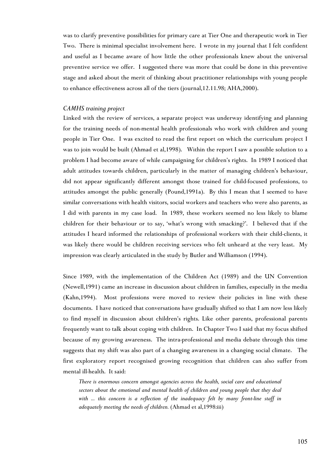was to clarify preventive possibilities for primary care at Tier One and therapeutic work in Tier Two. There is minimal specialist involvement here. I wrote in my journal that I felt confident and useful as I became aware of how little the other professionals knew about the universal preventive service we offer. I suggested there was more that could be done in this preventive stage and asked about the merit of thinking about practitioner relationships with young people to enhance effectiveness across all of the tiers (journal,12.11.98; AHA,2000).

### *CAMHS training project*

Linked with the review of services, a separate project was underway identifying and planning for the training needs of non-mental health professionals who work with children and young people in Tier One. I was excited to read the first report on which the curriculum project I was to join would be built (Ahmad et al,1998). Within the report I saw a possible solution to a problem I had become aware of while campaigning for children's rights. In 1989 I noticed that adult attitudes towards children, particularly in the matter of managing children's behaviour, did not appear significantly different amongst those trained for child-focused professions, to attitudes amongst the public generally (Pound,1991a). By this I mean that I seemed to have similar conversations with health visitors, social workers and teachers who were also parents, as I did with parents in my case load. In 1989, these workers seemed no less likely to blame children for their behaviour or to say, 'what's wrong with smacking?'. I believed that if the attitudes I heard informed the relationships of professional workers with their child-clients, it was likely there would be children receiving services who felt unheard at the very least. My impression was clearly articulated in the study by Butler and Williamson (1994).

Since 1989, with the implementation of the Children Act (1989) and the UN Convention (Newell,1991) came an increase in discussion about children in families, especially in the media (Kahn,1994). Most professions were moved to review their policies in line with these documents. I have noticed that conversations have gradually shifted so that I am now less likely to find myself in discussion about children's rights. Like other parents, professional parents frequently want to talk about coping with children. In Chapter Two I said that my focus shifted because of my growing awareness. The intra-professional and media debate through this time suggests that my shift was also part of a changing awareness in a changing social climate. The first exploratory report recognised growing recognition that children can also suffer from mental ill-health. It said:

*There is enormous concern amongst agencies across the health, social care and educational sectors about the emotional and mental health of children and young people that they deal with ... this concern is a reflection of the inadequacy felt by many front-line staff in adequately meeting the needs of children.* (Ahmad et al,1998:iii)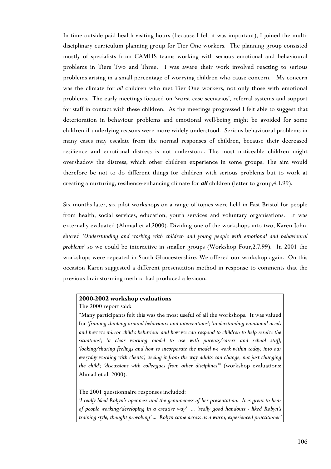In time outside paid health visiting hours (because I felt it was important), I joined the multidisciplinary curriculum planning group for Tier One workers. The planning group consisted mostly of specialists from CAMHS teams working with serious emotional and behavioural problems in Tiers Two and Three. I was aware their work involved reacting to serious problems arising in a small percentage of worrying children who cause concern. My concern was the climate for *all* children who met Tier One workers, not only those with emotional problems. The early meetings focused on 'worst case scenarios', referral systems and support for staff in contact with these children. As the meetings progressed I felt able to suggest that deterioration in behaviour problems and emotional well-being might be avoided for some children if underlying reasons were more widely understood. Serious behavioural problems in many cases may escalate from the normal responses of children, because their decreased resilience and emotional distress is not understood. The most noticeable children might overshadow the distress, which other children experience in some groups. The aim would therefore be not to do different things for children with serious problems but to work at creating a nurturing, resilience-enhancing climate for *all* children (letter to group,4.1.99).

Six months later, six pilot workshops on a range of topics were held in East Bristol for people from health, social services, education, youth services and voluntary organisations. It was externally evaluated (Ahmad et al,2000). Dividing one of the workshops into two, Karen John, shared *'Understanding and working with children and young people with emotional and behavioural problems'* so we could be interactive in smaller groups (Workshop Four,2.7.99). In 2001 the workshops were repeated in South Gloucestershire. We offered our workshop again. On this occasion Karen suggested a different presentation method in response to comments that the previous brainstorming method had produced a lexicon.

### **2000-2002 workshop evaluations**

The 2000 report said:

"Many participants felt this was the most useful of all the workshops. It was valued for *'framing thinking around behaviours and interventions'; 'understanding emotional needs and how we mirror child's behaviour and how we can respond to children to help resolve the situations'; 'a clear working model to use with parents/carers and school staff; 'looking/sharing feelings and how to incorporate the model we work within today, into our everyday working with clients'; 'seeing it from the way adults can change, not just changing* the child'; 'discussions with colleagues from other disciplines'" (workshop evaluations: Ahmad et al, 2000).

The 2001 questionnaire responses included:

*'I really liked Robyn's openness and the genuineness of her presentation. It is great to hear of people working/developing in a creative way' ... 'really good handouts - liked Robyn's training style, thought provoking' ... 'Robyn came across as a warm, experienced practitioner'*